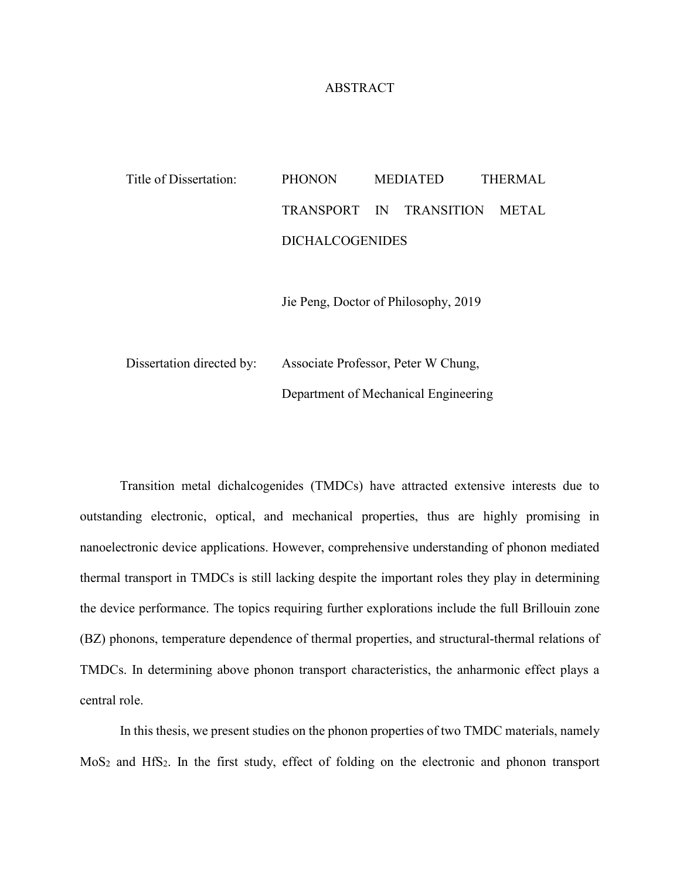## ABSTRACT

## Title of Dissertation: PHONON MEDIATED THERMAL TRANSPORT IN TRANSITION METAL DICHALCOGENIDES

Jie Peng, Doctor of Philosophy, 2019

Dissertation directed by: Associate Professor, Peter W Chung, Department of Mechanical Engineering

Transition metal dichalcogenides (TMDCs) have attracted extensive interests due to outstanding electronic, optical, and mechanical properties, thus are highly promising in nanoelectronic device applications. However, comprehensive understanding of phonon mediated thermal transport in TMDCs is still lacking despite the important roles they play in determining the device performance. The topics requiring further explorations include the full Brillouin zone (BZ) phonons, temperature dependence of thermal properties, and structural-thermal relations of TMDCs. In determining above phonon transport characteristics, the anharmonic effect plays a central role.

In this thesis, we present studies on the phonon properties of two TMDC materials, namely MoS<sub>2</sub> and HfS<sub>2</sub>. In the first study, effect of folding on the electronic and phonon transport